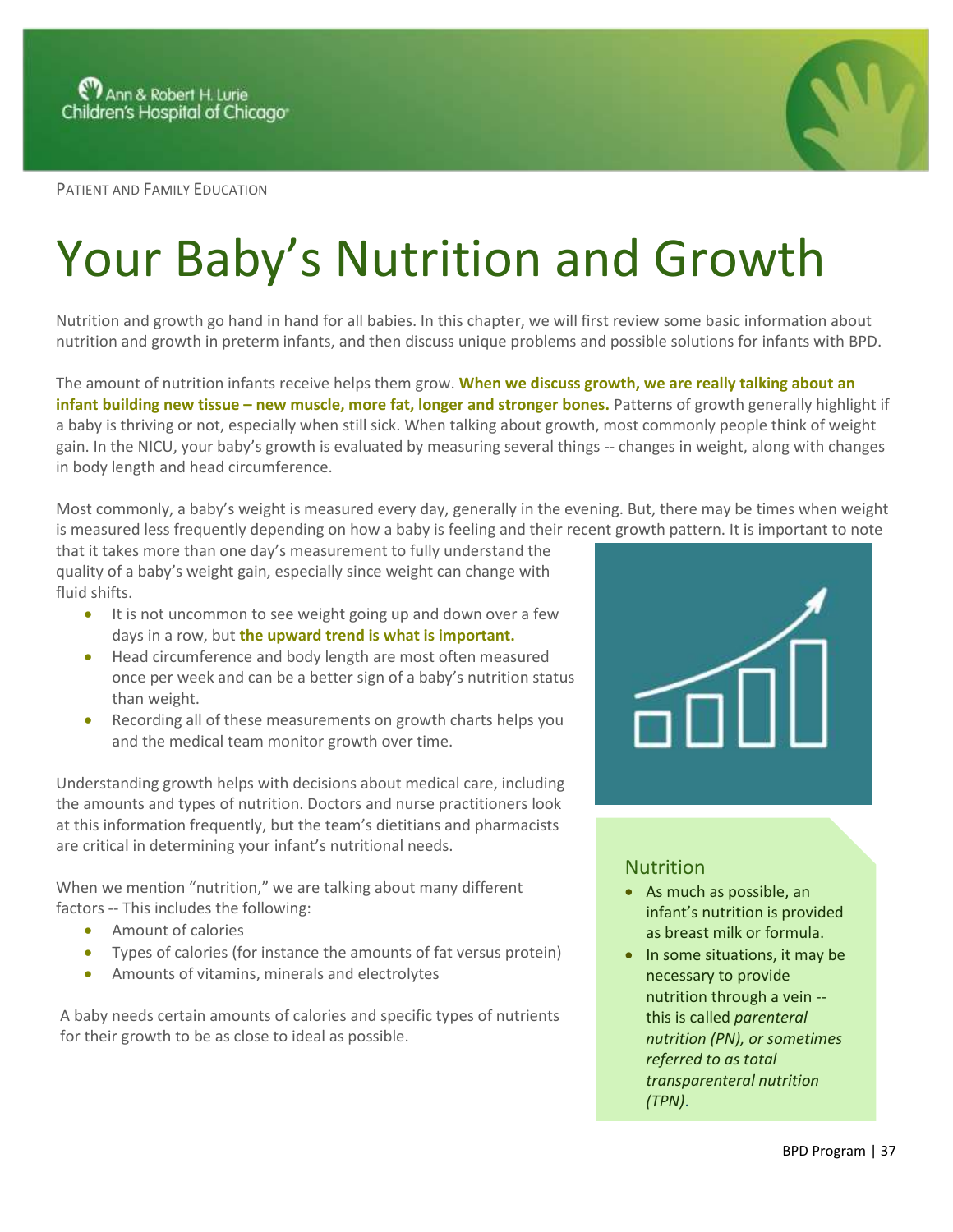

PATIENT AND FAMILY EDUCATION

## Your Baby's Nutrition and Growth

Nutrition and growth go hand in hand for all babies. In this chapter, we will first review some basic information about nutrition and growth in preterm infants, and then discuss unique problems and possible solutions for infants with BPD.

The amount of nutrition infants receive helps them grow. **When we discuss growth, we are really talking about an infant building new tissue – new muscle, more fat, longer and stronger bones.** Patterns of growth generally highlight if a baby is thriving or not, especially when still sick. When talking about growth, most commonly people think of weight gain. In the NICU, your baby's growth is evaluated by measuring several things -- changes in weight, along with changes in body length and head circumference.

Most commonly, a baby's weight is measured every day, generally in the evening. But, there may be times when weight is measured less frequently depending on how a baby is feeling and their recent growth pattern. It is important to note

that it takes more than one day's measurement to fully understand the quality of a baby's weight gain, especially since weight can change with fluid shifts.

- It is not uncommon to see weight going up and down over a few days in a row, but **the upward trend is what is important.**
- Head circumference and body length are most often measured once per week and can be a better sign of a baby's nutrition status than weight.
- Recording all of these measurements on growth charts helps you and the medical team monitor growth over time.

Understanding growth helps with decisions about medical care, including the amounts and types of nutrition. Doctors and nurse practitioners look at this information frequently, but the team's dietitians and pharmacists are critical in determining your infant's nutritional needs.

When we mention "nutrition," we are talking about many different factors -- This includes the following:

- Amount of calories
- Types of calories (for instance the amounts of fat versus protein)
- Amounts of vitamins, minerals and electrolytes

A baby needs certain amounts of calories and specific types of nutrients for their growth to be as close to ideal as possible.



## Nutrition

- As much as possible, an infant's nutrition is provided as breast milk or formula.
- In some situations, it may be necessary to provide nutrition through a vein - this is called *parenteral nutrition (PN), or sometimes referred to as total transparenteral nutrition (TPN)*.